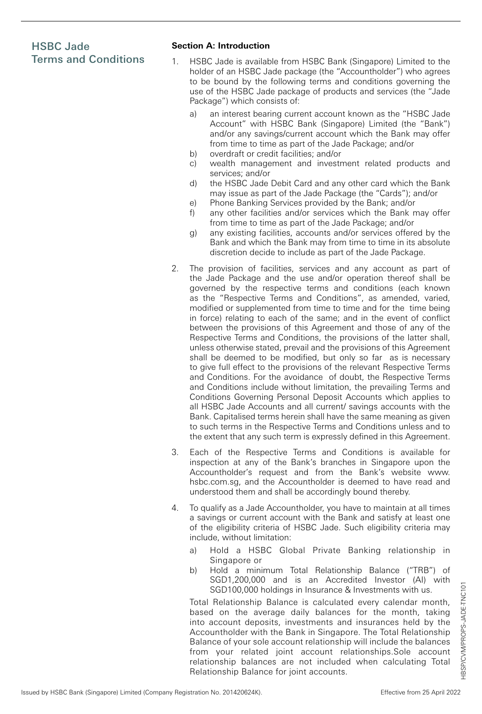## HSBC Jade Terms and Conditions

## **Section A: Introduction**

- 1. HSBC Jade is available from HSBC Bank (Singapore) Limited to the holder of an HSBC Jade package (the "Accountholder") who agrees to be bound by the following terms and conditions governing the use of the HSBC Jade package of products and services (the "Jade Package") which consists of:
	- a) an interest bearing current account known as the "HSBC Jade Account" with HSBC Bank (Singapore) Limited (the "Bank") and/or any savings/current account which the Bank may offer from time to time as part of the Jade Package; and/or
	- b) overdraft or credit facilities; and/or
	- c) wealth management and investment related products and services; and/or
	- d) the HSBC Jade Debit Card and any other card which the Bank may issue as part of the Jade Package (the "Cards"); and/or
	- e) Phone Banking Services provided by the Bank; and/or
	- f) any other facilities and/or services which the Bank may offer from time to time as part of the Jade Package; and/or
	- g) any existing facilities, accounts and/or services offered by the Bank and which the Bank may from time to time in its absolute discretion decide to include as part of the Jade Package.
- 2. The provision of facilities, services and any account as part of the Jade Package and the use and/or operation thereof shall be governed by the respective terms and conditions (each known as the "Respective Terms and Conditions", as amended, varied, modified or supplemented from time to time and for the time being in force) relating to each of the same; and in the event of conflict between the provisions of this Agreement and those of any of the Respective Terms and Conditions, the provisions of the latter shall, unless otherwise stated, prevail and the provisions of this Agreement shall be deemed to be modified, but only so far as is necessary to give full effect to the provisions of the relevant Respective Terms and Conditions. For the avoidance of doubt, the Respective Terms and Conditions include without limitation, the prevailing Terms and Conditions Governing Personal Deposit Accounts which applies to all HSBC Jade Accounts and all current/ savings accounts with the Bank. Capitalised terms herein shall have the same meaning as given to such terms in the Respective Terms and Conditions unless and to the extent that any such term is expressly defined in this Agreement.
- 3. Each of the Respective Terms and Conditions is available for inspection at any of the Bank's branches in Singapore upon the Accountholder's request and from the Bank's website www. hsbc.com.sg, and the Accountholder is deemed to have read and understood them and shall be accordingly bound thereby.
- 4. To qualify as a Jade Accountholder, you have to maintain at all times a savings or current account with the Bank and satisfy at least one of the eligibility criteria of HSBC Jade. Such eligibility criteria may include, without limitation:
	- a) Hold a HSBC Global Private Banking relationship in Singapore or
	- b) Hold a minimum Total Relationship Balance ("TRB") of SGD1,200,000 and is an Accredited Investor (AI) with SGD100,000 holdings in Insurance & Investments with us.

Total Relationship Balance is calculated every calendar month, based on the average daily balances for the month, taking into account deposits, investments and insurances held by the Accountholder with the Bank in Singapore. The Total Relationship Balance of your sole account relationship will include the balances from your related joint account relationships.Sole account relationship balances are not included when calculating Total Relationship Balance for joint accounts.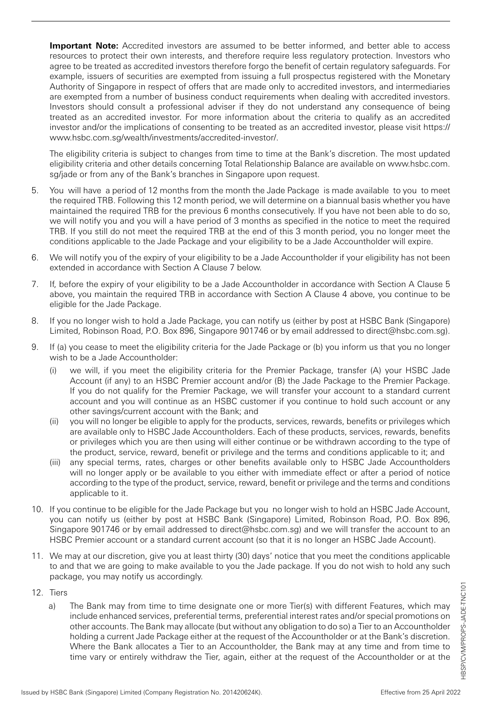**Important Note:** Accredited investors are assumed to be better informed, and better able to access resources to protect their own interests, and therefore require less regulatory protection. Investors who agree to be treated as accredited investors therefore forgo the benefit of certain regulatory safeguards. For example, issuers of securities are exempted from issuing a full prospectus registered with the Monetary Authority of Singapore in respect of offers that are made only to accredited investors, and intermediaries are exempted from a number of business conduct requirements when dealing with accredited investors. Investors should consult a professional adviser if they do not understand any consequence of being treated as an accredited investor. For more information about the criteria to qualify as an accredited investor and/or the implications of consenting to be treated as an accredited investor, please visit https:// www.hsbc.com.sg/wealth/investments/accredited-investor/.

The eligibility criteria is subject to changes from time to time at the Bank's discretion. The most updated eligibility criteria and other details concerning Total Relationship Balance are available on www.hsbc.com. sg/jade or from any of the Bank's branches in Singapore upon request.

- 5. You will have a period of 12 months from the month the Jade Package is made available to you to meet the required TRB. Following this 12 month period, we will determine on a biannual basis whether you have maintained the required TRB for the previous 6 months consecutively. If you have not been able to do so, we will notify you and you will a have period of 3 months as specified in the notice to meet the required TRB. If you still do not meet the required TRB at the end of this 3 month period, you no longer meet the conditions applicable to the Jade Package and your eligibility to be a Jade Accountholder will expire.
- 6. We will notify you of the expiry of your eligibility to be a Jade Accountholder if your eligibility has not been extended in accordance with Section A Clause 7 below.
- 7. If, before the expiry of your eligibility to be a Jade Accountholder in accordance with Section A Clause 5 above, you maintain the required TRB in accordance with Section A Clause 4 above, you continue to be eligible for the Jade Package.
- 8. If you no longer wish to hold a Jade Package, you can notify us (either by post at HSBC Bank (Singapore) Limited, Robinson Road, P.O. Box 896, Singapore 901746 or by email addressed to direct@hsbc.com.sg).
- 9. If (a) you cease to meet the eligibility criteria for the Jade Package or (b) you inform us that you no longer wish to be a Jade Accountholder:
	- (i) we will, if you meet the eligibility criteria for the Premier Package, transfer (A) your HSBC Jade Account (if any) to an HSBC Premier account and/or (B) the Jade Package to the Premier Package. If you do not qualify for the Premier Package, we will transfer your account to a standard current account and you will continue as an HSBC customer if you continue to hold such account or any other savings/current account with the Bank; and
	- (ii) you will no longer be eligible to apply for the products, services, rewards, benefits or privileges which are available only to HSBC Jade Accountholders. Each of these products, services, rewards, benefits or privileges which you are then using will either continue or be withdrawn according to the type of the product, service, reward, benefit or privilege and the terms and conditions applicable to it; and
	- (iii) any special terms, rates, charges or other benefits available only to HSBC Jade Accountholders will no longer apply or be available to you either with immediate effect or after a period of notice according to the type of the product, service, reward, benefit or privilege and the terms and conditions applicable to it.
- 10. If you continue to be eligible for the Jade Package but you no longer wish to hold an HSBC Jade Account, you can notify us (either by post at HSBC Bank (Singapore) Limited, Robinson Road, P.O. Box 896, Singapore 901746 or by email addressed to direct@hsbc.com.sg) and we will transfer the account to an HSBC Premier account or a standard current account (so that it is no longer an HSBC Jade Account).
- 11. We may at our discretion, give you at least thirty (30) days' notice that you meet the conditions applicable to and that we are going to make available to you the Jade package. If you do not wish to hold any such package, you may notify us accordingly.
- 12. Tiers
	- a) The Bank may from time to time designate one or more Tier(s) with different Features, which may include enhanced services, preferential terms, preferential interest rates and/or special promotions on other accounts. The Bank may allocate (but without any obligation to do so) a Tier to an Accountholder holding a current Jade Package either at the request of the Accountholder or at the Bank's discretion. Where the Bank allocates a Tier to an Accountholder, the Bank may at any time and from time to time vary or entirely withdraw the Tier, again, either at the request of the Accountholder or at the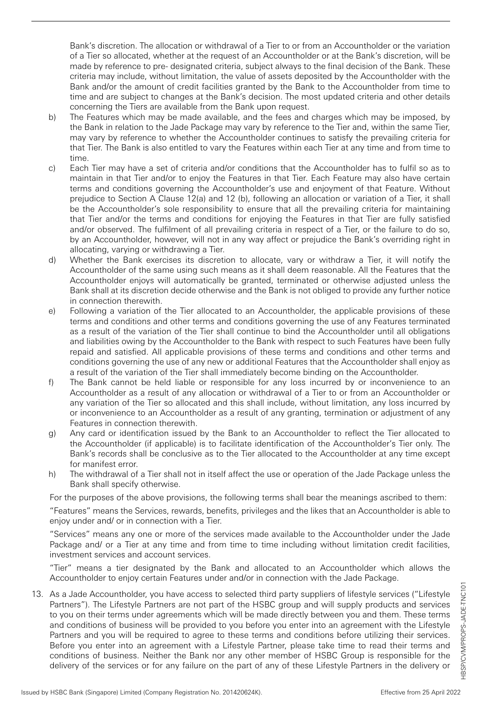Bank's discretion. The allocation or withdrawal of a Tier to or from an Accountholder or the variation of a Tier so allocated, whether at the request of an Accountholder or at the Bank's discretion, will be made by reference to pre- designated criteria, subject always to the final decision of the Bank. These criteria may include, without limitation, the value of assets deposited by the Accountholder with the Bank and/or the amount of credit facilities granted by the Bank to the Accountholder from time to time and are subject to changes at the Bank's decision. The most updated criteria and other details concerning the Tiers are available from the Bank upon request.

- b) The Features which may be made available, and the fees and charges which may be imposed, by the Bank in relation to the Jade Package may vary by reference to the Tier and, within the same Tier, may vary by reference to whether the Accountholder continues to satisfy the prevailing criteria for that Tier. The Bank is also entitled to vary the Features within each Tier at any time and from time to time.
- c) Each Tier may have a set of criteria and/or conditions that the Accountholder has to fulfil so as to maintain in that Tier and/or to enjoy the Features in that Tier. Each Feature may also have certain terms and conditions governing the Accountholder's use and enjoyment of that Feature. Without prejudice to Section A Clause 12(a) and 12 (b), following an allocation or variation of a Tier, it shall be the Accountholder's sole responsibility to ensure that all the prevailing criteria for maintaining that Tier and/or the terms and conditions for enjoying the Features in that Tier are fully satisfied and/or observed. The fulfilment of all prevailing criteria in respect of a Tier, or the failure to do so, by an Accountholder, however, will not in any way affect or prejudice the Bank's overriding right in allocating, varying or withdrawing a Tier.
- d) Whether the Bank exercises its discretion to allocate, vary or withdraw a Tier, it will notify the Accountholder of the same using such means as it shall deem reasonable. All the Features that the Accountholder enjoys will automatically be granted, terminated or otherwise adjusted unless the Bank shall at its discretion decide otherwise and the Bank is not obliged to provide any further notice in connection therewith.
- e) Following a variation of the Tier allocated to an Accountholder, the applicable provisions of these terms and conditions and other terms and conditions governing the use of any Features terminated as a result of the variation of the Tier shall continue to bind the Accountholder until all obligations and liabilities owing by the Accountholder to the Bank with respect to such Features have been fully repaid and satisfied. All applicable provisions of these terms and conditions and other terms and conditions governing the use of any new or additional Features that the Accountholder shall enjoy as a result of the variation of the Tier shall immediately become binding on the Accountholder.
- f) The Bank cannot be held liable or responsible for any loss incurred by or inconvenience to an Accountholder as a result of any allocation or withdrawal of a Tier to or from an Accountholder or any variation of the Tier so allocated and this shall include, without limitation, any loss incurred by or inconvenience to an Accountholder as a result of any granting, termination or adjustment of any Features in connection therewith.
- g) Any card or identification issued by the Bank to an Accountholder to reflect the Tier allocated to the Accountholder (if applicable) is to facilitate identification of the Accountholder's Tier only. The Bank's records shall be conclusive as to the Tier allocated to the Accountholder at any time except for manifest error.
- h) The withdrawal of a Tier shall not in itself affect the use or operation of the Jade Package unless the Bank shall specify otherwise.

For the purposes of the above provisions, the following terms shall bear the meanings ascribed to them:

"Features" means the Services, rewards, benefits, privileges and the likes that an Accountholder is able to enjoy under and/ or in connection with a Tier.

"Services" means any one or more of the services made available to the Accountholder under the Jade Package and/ or a Tier at any time and from time to time including without limitation credit facilities, investment services and account services.

"Tier" means a tier designated by the Bank and allocated to an Accountholder which allows the Accountholder to enjoy certain Features under and/or in connection with the Jade Package.

13. As a Jade Accountholder, you have access to selected third party suppliers of lifestyle services ("Lifestyle Partners"). The Lifestyle Partners are not part of the HSBC group and will supply products and services to you on their terms under agreements which will be made directly between you and them. These terms and conditions of business will be provided to you before you enter into an agreement with the Lifestyle Partners and you will be required to agree to these terms and conditions before utilizing their services. Before you enter into an agreement with a Lifestyle Partner, please take time to read their terms and conditions of business. Neither the Bank nor any other member of HSBC Group is responsible for the delivery of the services or for any failure on the part of any of these Lifestyle Partners in the delivery or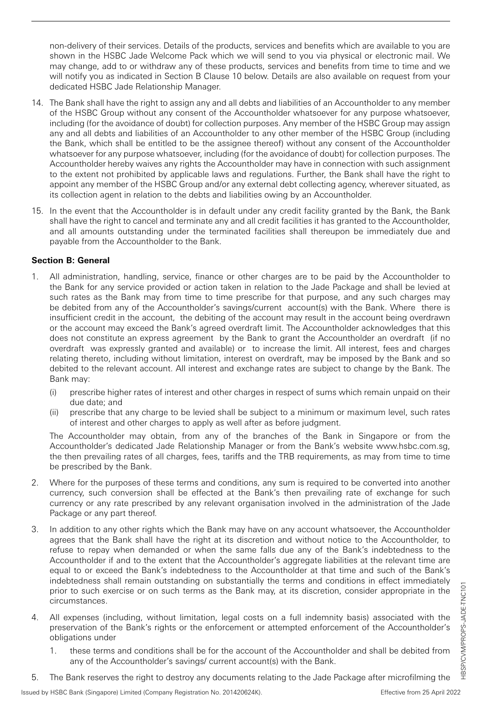non-delivery of their services. Details of the products, services and benefits which are available to you are shown in the HSBC Jade Welcome Pack which we will send to you via physical or electronic mail. We may change, add to or withdraw any of these products, services and benefits from time to time and we will notify you as indicated in Section B Clause 10 below. Details are also available on request from your dedicated HSBC Jade Relationship Manager.

- 14. The Bank shall have the right to assign any and all debts and liabilities of an Accountholder to any member of the HSBC Group without any consent of the Accountholder whatsoever for any purpose whatsoever, including (for the avoidance of doubt) for collection purposes. Any member of the HSBC Group may assign any and all debts and liabilities of an Accountholder to any other member of the HSBC Group (including the Bank, which shall be entitled to be the assignee thereof) without any consent of the Accountholder whatsoever for any purpose whatsoever, including (for the avoidance of doubt) for collection purposes. The Accountholder hereby waives any rights the Accountholder may have in connection with such assignment to the extent not prohibited by applicable laws and regulations. Further, the Bank shall have the right to appoint any member of the HSBC Group and/or any external debt collecting agency, wherever situated, as its collection agent in relation to the debts and liabilities owing by an Accountholder.
- 15. In the event that the Accountholder is in default under any credit facility granted by the Bank, the Bank shall have the right to cancel and terminate any and all credit facilities it has granted to the Accountholder, and all amounts outstanding under the terminated facilities shall thereupon be immediately due and payable from the Accountholder to the Bank.

## **Section B: General**

- 1. All administration, handling, service, finance or other charges are to be paid by the Accountholder to the Bank for any service provided or action taken in relation to the Jade Package and shall be levied at such rates as the Bank may from time to time prescribe for that purpose, and any such charges may be debited from any of the Accountholder's savings/current account(s) with the Bank. Where there is insufficient credit in the account, the debiting of the account may result in the account being overdrawn or the account may exceed the Bank's agreed overdraft limit. The Accountholder acknowledges that this does not constitute an express agreement by the Bank to grant the Accountholder an overdraft (if no overdraft was expressly granted and available) or to increase the limit. All interest, fees and charges relating thereto, including without limitation, interest on overdraft, may be imposed by the Bank and so debited to the relevant account. All interest and exchange rates are subject to change by the Bank. The Bank may:
	- (i) prescribe higher rates of interest and other charges in respect of sums which remain unpaid on their due date; and
	- (ii) prescribe that any charge to be levied shall be subject to a minimum or maximum level, such rates of interest and other charges to apply as well after as before judgment.

The Accountholder may obtain, from any of the branches of the Bank in Singapore or from the Accountholder's dedicated Jade Relationship Manager or from the Bank's website www.hsbc.com.sg, the then prevailing rates of all charges, fees, tariffs and the TRB requirements, as may from time to time be prescribed by the Bank.

- 2. Where for the purposes of these terms and conditions, any sum is required to be converted into another currency, such conversion shall be effected at the Bank's then prevailing rate of exchange for such currency or any rate prescribed by any relevant organisation involved in the administration of the Jade Package or any part thereof.
- 3. In addition to any other rights which the Bank may have on any account whatsoever, the Accountholder agrees that the Bank shall have the right at its discretion and without notice to the Accountholder, to refuse to repay when demanded or when the same falls due any of the Bank's indebtedness to the Accountholder if and to the extent that the Accountholder's aggregate liabilities at the relevant time are equal to or exceed the Bank's indebtedness to the Accountholder at that time and such of the Bank's indebtedness shall remain outstanding on substantially the terms and conditions in effect immediately prior to such exercise or on such terms as the Bank may, at its discretion, consider appropriate in the circumstances.
- 4. All expenses (including, without limitation, legal costs on a full indemnity basis) associated with the preservation of the Bank's rights or the enforcement or attempted enforcement of the Accountholder's obligations under
	- 1. these terms and conditions shall be for the account of the Accountholder and shall be debited from any of the Accountholder's savings/ current account(s) with the Bank.
- 5. The Bank reserves the right to destroy any documents relating to the Jade Package after microfilming the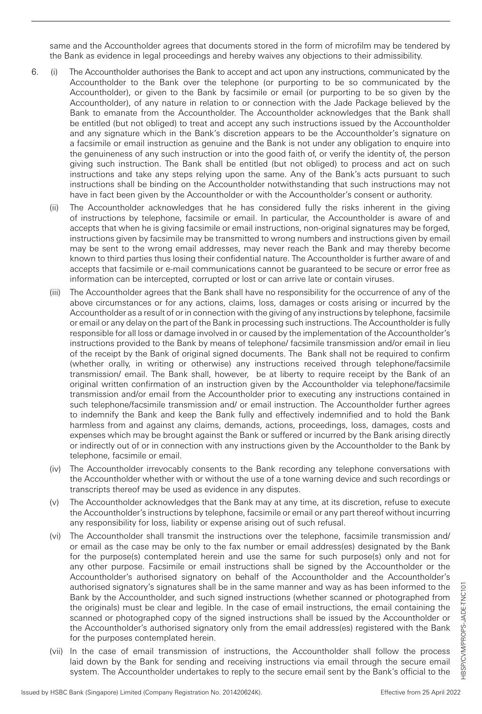same and the Accountholder agrees that documents stored in the form of microfilm may be tendered by the Bank as evidence in legal proceedings and hereby waives any objections to their admissibility.

- 6. (i) The Accountholder authorises the Bank to accept and act upon any instructions, communicated by the Accountholder to the Bank over the telephone (or purporting to be so communicated by the Accountholder), or given to the Bank by facsimile or email (or purporting to be so given by the Accountholder), of any nature in relation to or connection with the Jade Package believed by the Bank to emanate from the Accountholder. The Accountholder acknowledges that the Bank shall be entitled (but not obliged) to treat and accept any such instructions issued by the Accountholder and any signature which in the Bank's discretion appears to be the Accountholder's signature on a facsimile or email instruction as genuine and the Bank is not under any obligation to enquire into the genuineness of any such instruction or into the good faith of, or verify the identity of, the person giving such instruction. The Bank shall be entitled (but not obliged) to process and act on such instructions and take any steps relying upon the same. Any of the Bank's acts pursuant to such instructions shall be binding on the Accountholder notwithstanding that such instructions may not have in fact been given by the Accountholder or with the Accountholder's consent or authority.
	- (ii) The Accountholder acknowledges that he has considered fully the risks inherent in the giving of instructions by telephone, facsimile or email. In particular, the Accountholder is aware of and accepts that when he is giving facsimile or email instructions, non-original signatures may be forged, instructions given by facsimile may be transmitted to wrong numbers and instructions given by email may be sent to the wrong email addresses, may never reach the Bank and may thereby become known to third parties thus losing their confidential nature. The Accountholder is further aware of and accepts that facsimile or e-mail communications cannot be guaranteed to be secure or error free as information can be intercepted, corrupted or lost or can arrive late or contain viruses.
	- (iii) The Accountholder agrees that the Bank shall have no responsibility for the occurrence of any of the above circumstances or for any actions, claims, loss, damages or costs arising or incurred by the Accountholder as a result of or in connection with the giving of any instructions by telephone, facsimile or email or any delay on the part of the Bank in processing such instructions. The Accountholder is fully responsible for all loss or damage involved in or caused by the implementation of the Accountholder's instructions provided to the Bank by means of telephone/ facsimile transmission and/or email in lieu of the receipt by the Bank of original signed documents. The Bank shall not be required to confirm (whether orally, in writing or otherwise) any instructions received through telephone/facsimile transmission/ email. The Bank shall, however, be at liberty to require receipt by the Bank of an original written confirmation of an instruction given by the Accountholder via telephone/facsimile transmission and/or email from the Accountholder prior to executing any instructions contained in such telephone/facsimile transmission and/ or email instruction. The Accountholder further agrees to indemnify the Bank and keep the Bank fully and effectively indemnified and to hold the Bank harmless from and against any claims, demands, actions, proceedings, loss, damages, costs and expenses which may be brought against the Bank or suffered or incurred by the Bank arising directly or indirectly out of or in connection with any instructions given by the Accountholder to the Bank by telephone, facsimile or email.
	- (iv) The Accountholder irrevocably consents to the Bank recording any telephone conversations with the Accountholder whether with or without the use of a tone warning device and such recordings or transcripts thereof may be used as evidence in any disputes.
	- (v) The Accountholder acknowledges that the Bank may at any time, at its discretion, refuse to execute the Accountholder's instructions by telephone, facsimile or email or any part thereof without incurring any responsibility for loss, liability or expense arising out of such refusal.
	- (vi) The Accountholder shall transmit the instructions over the telephone, facsimile transmission and/ or email as the case may be only to the fax number or email address(es) designated by the Bank for the purpose(s) contemplated herein and use the same for such purpose(s) only and not for any other purpose. Facsimile or email instructions shall be signed by the Accountholder or the Accountholder's authorised signatory on behalf of the Accountholder and the Accountholder's authorised signatory's signatures shall be in the same manner and way as has been informed to the Bank by the Accountholder, and such signed instructions (whether scanned or photographed from the originals) must be clear and legible. In the case of email instructions, the email containing the scanned or photographed copy of the signed instructions shall be issued by the Accountholder or the Accountholder's authorised signatory only from the email address(es) registered with the Bank for the purposes contemplated herein.
	- (vii) In the case of email transmission of instructions, the Accountholder shall follow the process laid down by the Bank for sending and receiving instructions via email through the secure email system. The Accountholder undertakes to reply to the secure email sent by the Bank's official to the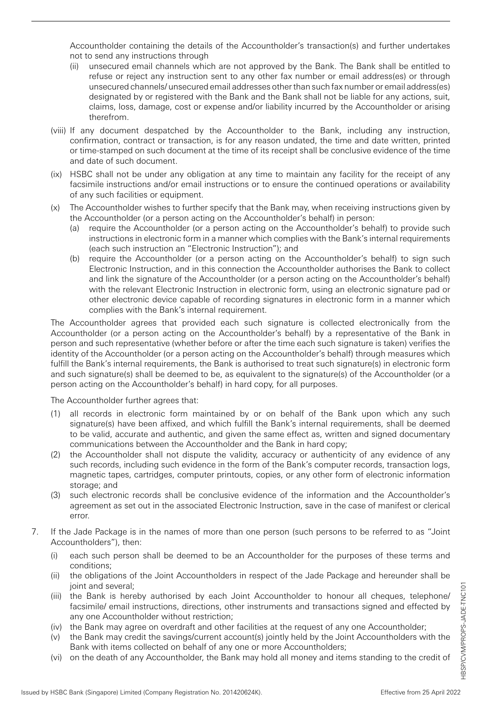Accountholder containing the details of the Accountholder's transaction(s) and further undertakes not to send any instructions through

- (ii) unsecured email channels which are not approved by the Bank. The Bank shall be entitled to refuse or reject any instruction sent to any other fax number or email address(es) or through unsecured channels/ unsecured email addresses other than such fax number or email address(es) designated by or registered with the Bank and the Bank shall not be liable for any actions, suit, claims, loss, damage, cost or expense and/or liability incurred by the Accountholder or arising therefrom.
- (viii) If any document despatched by the Accountholder to the Bank, including any instruction, confirmation, contract or transaction, is for any reason undated, the time and date written, printed or time-stamped on such document at the time of its receipt shall be conclusive evidence of the time and date of such document.
- (ix) HSBC shall not be under any obligation at any time to maintain any facility for the receipt of any facsimile instructions and/or email instructions or to ensure the continued operations or availability of any such facilities or equipment.
- (x) The Accountholder wishes to further specify that the Bank may, when receiving instructions given by the Accountholder (or a person acting on the Accountholder's behalf) in person:
	- (a) require the Accountholder (or a person acting on the Accountholder's behalf) to provide such instructions in electronic form in a manner which complies with the Bank's internal requirements (each such instruction an "Electronic Instruction"); and
	- (b) require the Accountholder (or a person acting on the Accountholder's behalf) to sign such Electronic Instruction, and in this connection the Accountholder authorises the Bank to collect and link the signature of the Accountholder (or a person acting on the Accountholder's behalf) with the relevant Electronic Instruction in electronic form, using an electronic signature pad or other electronic device capable of recording signatures in electronic form in a manner which complies with the Bank's internal requirement.

The Accountholder agrees that provided each such signature is collected electronically from the Accountholder (or a person acting on the Accountholder's behalf) by a representative of the Bank in person and such representative (whether before or after the time each such signature is taken) verifies the identity of the Accountholder (or a person acting on the Accountholder's behalf) through measures which fulfill the Bank's internal requirements, the Bank is authorised to treat such signature(s) in electronic form and such signature(s) shall be deemed to be, as equivalent to the signature(s) of the Accountholder (or a person acting on the Accountholder's behalf) in hard copy, for all purposes.

The Accountholder further agrees that:

- (1) all records in electronic form maintained by or on behalf of the Bank upon which any such signature(s) have been affixed, and which fulfill the Bank's internal requirements, shall be deemed to be valid, accurate and authentic, and given the same effect as, written and signed documentary communications between the Accountholder and the Bank in hard copy;
- (2) the Accountholder shall not dispute the validity, accuracy or authenticity of any evidence of any such records, including such evidence in the form of the Bank's computer records, transaction logs, magnetic tapes, cartridges, computer printouts, copies, or any other form of electronic information storage; and
- (3) such electronic records shall be conclusive evidence of the information and the Accountholder's agreement as set out in the associated Electronic Instruction, save in the case of manifest or clerical error.
- 7. If the Jade Package is in the names of more than one person (such persons to be referred to as "Joint Accountholders"), then:
	- (i) each such person shall be deemed to be an Accountholder for the purposes of these terms and conditions;
	- (ii) the obligations of the Joint Accountholders in respect of the Jade Package and hereunder shall be joint and several;
	- (iii) the Bank is hereby authorised by each Joint Accountholder to honour all cheques, telephone/ facsimile/ email instructions, directions, other instruments and transactions signed and effected by any one Accountholder without restriction;
	- (iv) the Bank may agree on overdraft and other facilities at the request of any one Accountholder;
	- (v) the Bank may credit the savings/current account(s) jointly held by the Joint Accountholders with the Bank with items collected on behalf of any one or more Accountholders;
	- (vi) on the death of any Accountholder, the Bank may hold all money and items standing to the credit of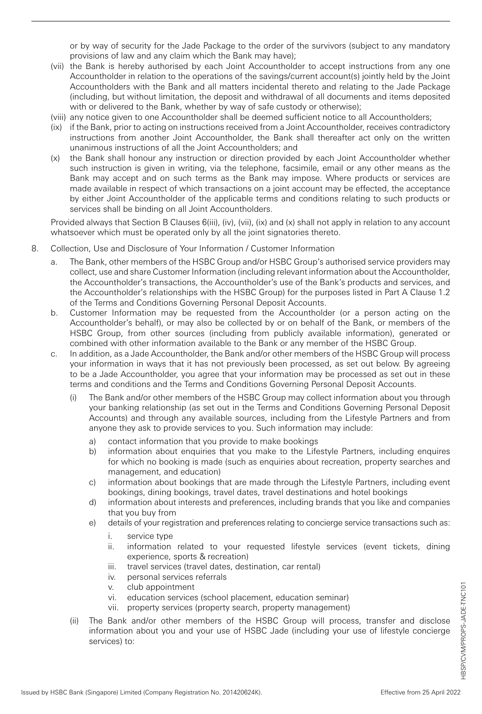or by way of security for the Jade Package to the order of the survivors (subject to any mandatory provisions of law and any claim which the Bank may have);

- (vii) the Bank is hereby authorised by each Joint Accountholder to accept instructions from any one Accountholder in relation to the operations of the savings/current account(s) jointly held by the Joint Accountholders with the Bank and all matters incidental thereto and relating to the Jade Package (including, but without limitation, the deposit and withdrawal of all documents and items deposited with or delivered to the Bank, whether by way of safe custody or otherwise);
- (viii) any notice given to one Accountholder shall be deemed sufficient notice to all Accountholders;
- (ix) if the Bank, prior to acting on instructions received from a Joint Accountholder, receives contradictory instructions from another Joint Accountholder, the Bank shall thereafter act only on the written unanimous instructions of all the Joint Accountholders; and
- (x) the Bank shall honour any instruction or direction provided by each Joint Accountholder whether such instruction is given in writing, via the telephone, facsimile, email or any other means as the Bank may accept and on such terms as the Bank may impose. Where products or services are made available in respect of which transactions on a joint account may be effected, the acceptance by either Joint Accountholder of the applicable terms and conditions relating to such products or services shall be binding on all Joint Accountholders.

Provided always that Section B Clauses 6(iii), (iv), (vii), (ix) and (x) shall not apply in relation to any account whatsoever which must be operated only by all the joint signatories thereto.

- 8. Collection, Use and Disclosure of Your Information / Customer Information
	- a. The Bank, other members of the HSBC Group and/or HSBC Group's authorised service providers may collect, use and share Customer Information (including relevant information about the Accountholder, the Accountholder's transactions, the Accountholder's use of the Bank's products and services, and the Accountholder's relationships with the HSBC Group) for the purposes listed in Part A Clause 1.2 of the Terms and Conditions Governing Personal Deposit Accounts.
	- b. Customer Information may be requested from the Accountholder (or a person acting on the Accountholder's behalf), or may also be collected by or on behalf of the Bank, or members of the HSBC Group, from other sources (including from publicly available information), generated or combined with other information available to the Bank or any member of the HSBC Group.
	- c. In addition, as a Jade Accountholder, the Bank and/or other members of the HSBC Group will process your information in ways that it has not previously been processed, as set out below. By agreeing to be a Jade Accountholder, you agree that your information may be processed as set out in these terms and conditions and the Terms and Conditions Governing Personal Deposit Accounts.
		- (i) The Bank and/or other members of the HSBC Group may collect information about you through your banking relationship (as set out in the Terms and Conditions Governing Personal Deposit Accounts) and through any available sources, including from the Lifestyle Partners and from anyone they ask to provide services to you. Such information may include:
			- a) contact information that you provide to make bookings
			- b) information about enquiries that you make to the Lifestyle Partners, including enquires for which no booking is made (such as enquiries about recreation, property searches and management, and education)
			- c) information about bookings that are made through the Lifestyle Partners, including event bookings, dining bookings, travel dates, travel destinations and hotel bookings
			- d) information about interests and preferences, including brands that you like and companies that you buy from
			- e) details of your registration and preferences relating to concierge service transactions such as:
				- i. service type
				- ii. information related to your requested lifestyle services (event tickets, dining experience, sports & recreation)
				- iii. travel services (travel dates, destination, car rental)
				- iv. personal services referrals
				- v. club appointment
				- vi. education services (school placement, education seminar)
				- vii. property services (property search, property management)
		- (ii) The Bank and/or other members of the HSBC Group will process, transfer and disclose information about you and your use of HSBC Jade (including your use of lifestyle concierge services) to: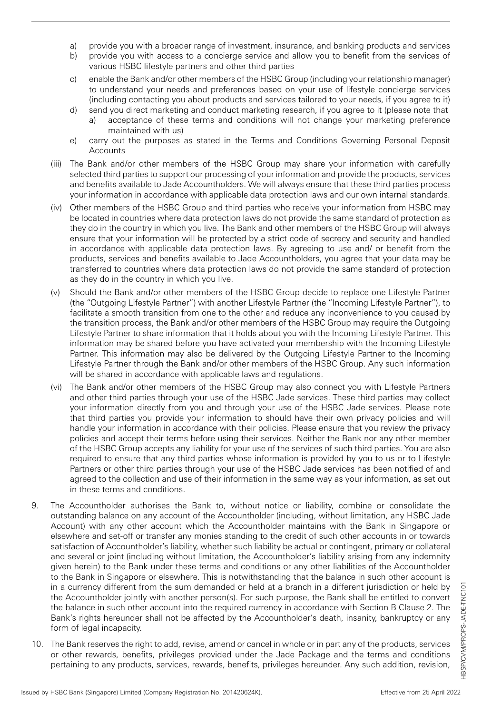- a) provide you with a broader range of investment, insurance, and banking products and services
- b) provide you with access to a concierge service and allow you to benefit from the services of various HSBC lifestyle partners and other third parties
- c) enable the Bank and/or other members of the HSBC Group (including your relationship manager) to understand your needs and preferences based on your use of lifestyle concierge services (including contacting you about products and services tailored to your needs, if you agree to it)
- d) send you direct marketing and conduct marketing research, if you agree to it (please note that a) acceptance of these terms and conditions will not change your marketing preference maintained with us)
- e) carry out the purposes as stated in the Terms and Conditions Governing Personal Deposit Accounts
- (iii) The Bank and/or other members of the HSBC Group may share your information with carefully selected third parties to support our processing of your information and provide the products, services and benefits available to Jade Accountholders. We will always ensure that these third parties process your information in accordance with applicable data protection laws and our own internal standards.
- (iv) Other members of the HSBC Group and third parties who receive your information from HSBC may be located in countries where data protection laws do not provide the same standard of protection as they do in the country in which you live. The Bank and other members of the HSBC Group will always ensure that your information will be protected by a strict code of secrecy and security and handled in accordance with applicable data protection laws. By agreeing to use and/ or benefit from the products, services and benefits available to Jade Accountholders, you agree that your data may be transferred to countries where data protection laws do not provide the same standard of protection as they do in the country in which you live.
- (v) Should the Bank and/or other members of the HSBC Group decide to replace one Lifestyle Partner (the "Outgoing Lifestyle Partner") with another Lifestyle Partner (the "Incoming Lifestyle Partner"), to facilitate a smooth transition from one to the other and reduce any inconvenience to you caused by the transition process, the Bank and/or other members of the HSBC Group may require the Outgoing Lifestyle Partner to share information that it holds about you with the Incoming Lifestyle Partner. This information may be shared before you have activated your membership with the Incoming Lifestyle Partner. This information may also be delivered by the Outgoing Lifestyle Partner to the Incoming Lifestyle Partner through the Bank and/or other members of the HSBC Group. Any such information will be shared in accordance with applicable laws and regulations.
- (vi) The Bank and/or other members of the HSBC Group may also connect you with Lifestyle Partners and other third parties through your use of the HSBC Jade services. These third parties may collect your information directly from you and through your use of the HSBC Jade services. Please note that third parties you provide your information to should have their own privacy policies and will handle your information in accordance with their policies. Please ensure that you review the privacy policies and accept their terms before using their services. Neither the Bank nor any other member of the HSBC Group accepts any liability for your use of the services of such third parties. You are also required to ensure that any third parties whose information is provided by you to us or to Lifestyle Partners or other third parties through your use of the HSBC Jade services has been notified of and agreed to the collection and use of their information in the same way as your information, as set out in these terms and conditions.
- 9. The Accountholder authorises the Bank to, without notice or liability, combine or consolidate the outstanding balance on any account of the Accountholder (including, without limitation, any HSBC Jade Account) with any other account which the Accountholder maintains with the Bank in Singapore or elsewhere and set-off or transfer any monies standing to the credit of such other accounts in or towards satisfaction of Accountholder's liability, whether such liability be actual or contingent, primary or collateral and several or joint (including without limitation, the Accountholder's liability arising from any indemnity given herein) to the Bank under these terms and conditions or any other liabilities of the Accountholder to the Bank in Singapore or elsewhere. This is notwithstanding that the balance in such other account is in a currency different from the sum demanded or held at a branch in a different jurisdiction or held by the Accountholder jointly with another person(s). For such purpose, the Bank shall be entitled to convert the balance in such other account into the required currency in accordance with Section B Clause 2. The Bank's rights hereunder shall not be affected by the Accountholder's death, insanity, bankruptcy or any form of legal incapacity.
- 10. The Bank reserves the right to add, revise, amend or cancel in whole or in part any of the products, services or other rewards, benefits, privileges provided under the Jade Package and the terms and conditions pertaining to any products, services, rewards, benefits, privileges hereunder. Any such addition, revision,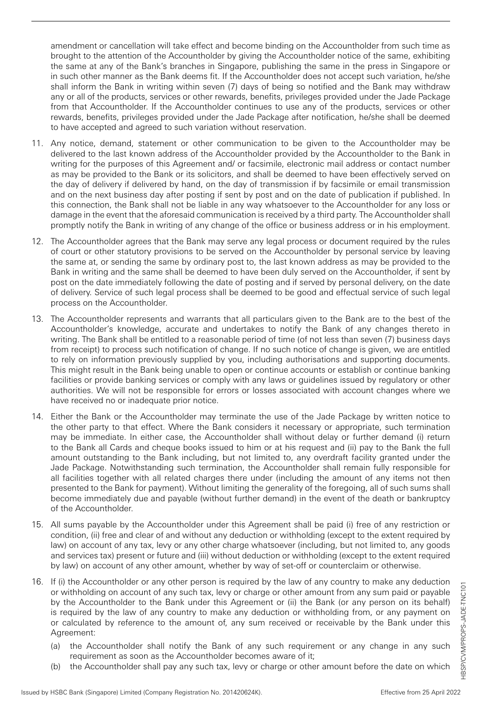amendment or cancellation will take effect and become binding on the Accountholder from such time as brought to the attention of the Accountholder by giving the Accountholder notice of the same, exhibiting the same at any of the Bank's branches in Singapore, publishing the same in the press in Singapore or in such other manner as the Bank deems fit. If the Accountholder does not accept such variation, he/she shall inform the Bank in writing within seven (7) days of being so notified and the Bank may withdraw any or all of the products, services or other rewards, benefits, privileges provided under the Jade Package from that Accountholder. If the Accountholder continues to use any of the products, services or other rewards, benefits, privileges provided under the Jade Package after notification, he/she shall be deemed to have accepted and agreed to such variation without reservation.

- 11. Any notice, demand, statement or other communication to be given to the Accountholder may be delivered to the last known address of the Accountholder provided by the Accountholder to the Bank in writing for the purposes of this Agreement and/ or facsimile, electronic mail address or contact number as may be provided to the Bank or its solicitors, and shall be deemed to have been effectively served on the day of delivery if delivered by hand, on the day of transmission if by facsimile or email transmission and on the next business day after posting if sent by post and on the date of publication if published. In this connection, the Bank shall not be liable in any way whatsoever to the Accountholder for any loss or damage in the event that the aforesaid communication is received by a third party. The Accountholder shall promptly notify the Bank in writing of any change of the office or business address or in his employment.
- 12. The Accountholder agrees that the Bank may serve any legal process or document required by the rules of court or other statutory provisions to be served on the Accountholder by personal service by leaving the same at, or sending the same by ordinary post to, the last known address as may be provided to the Bank in writing and the same shall be deemed to have been duly served on the Accountholder, if sent by post on the date immediately following the date of posting and if served by personal delivery, on the date of delivery. Service of such legal process shall be deemed to be good and effectual service of such legal process on the Accountholder.
- 13. The Accountholder represents and warrants that all particulars given to the Bank are to the best of the Accountholder's knowledge, accurate and undertakes to notify the Bank of any changes thereto in writing. The Bank shall be entitled to a reasonable period of time (of not less than seven (7) business days from receipt) to process such notification of change. If no such notice of change is given, we are entitled to rely on information previously supplied by you, including authorisations and supporting documents. This might result in the Bank being unable to open or continue accounts or establish or continue banking facilities or provide banking services or comply with any laws or guidelines issued by regulatory or other authorities. We will not be responsible for errors or losses associated with account changes where we have received no or inadequate prior notice.
- 14. Either the Bank or the Accountholder may terminate the use of the Jade Package by written notice to the other party to that effect. Where the Bank considers it necessary or appropriate, such termination may be immediate. In either case, the Accountholder shall without delay or further demand (i) return to the Bank all Cards and cheque books issued to him or at his request and (ii) pay to the Bank the full amount outstanding to the Bank including, but not limited to, any overdraft facility granted under the Jade Package. Notwithstanding such termination, the Accountholder shall remain fully responsible for all facilities together with all related charges there under (including the amount of any items not then presented to the Bank for payment). Without limiting the generality of the foregoing, all of such sums shall become immediately due and payable (without further demand) in the event of the death or bankruptcy of the Accountholder.
- 15. All sums payable by the Accountholder under this Agreement shall be paid (i) free of any restriction or condition, (ii) free and clear of and without any deduction or withholding (except to the extent required by law) on account of any tax, levy or any other charge whatsoever (including, but not limited to, any goods and services tax) present or future and (iii) without deduction or withholding (except to the extent required by law) on account of any other amount, whether by way of set-off or counterclaim or otherwise.
- 16. If (i) the Accountholder or any other person is required by the law of any country to make any deduction or withholding on account of any such tax, levy or charge or other amount from any sum paid or payable by the Accountholder to the Bank under this Agreement or (ii) the Bank (or any person on its behalf) is required by the law of any country to make any deduction or withholding from, or any payment on or calculated by reference to the amount of, any sum received or receivable by the Bank under this Agreement:
	- (a) the Accountholder shall notify the Bank of any such requirement or any change in any such requirement as soon as the Accountholder becomes aware of it;
	- (b) the Accountholder shall pay any such tax, levy or charge or other amount before the date on which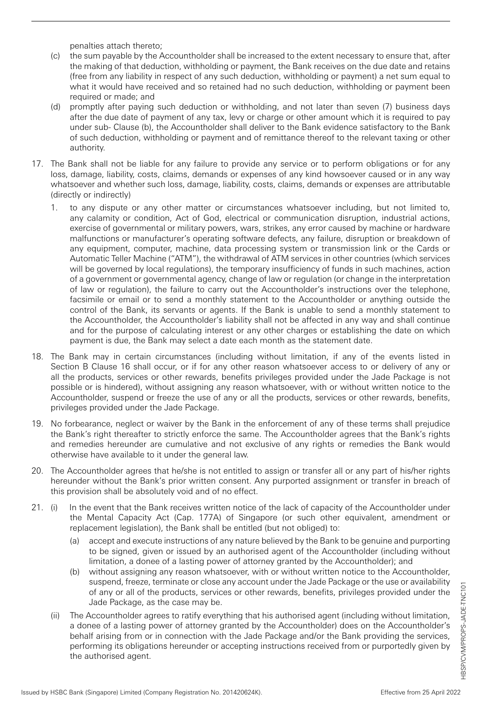penalties attach thereto;

- (c) the sum payable by the Accountholder shall be increased to the extent necessary to ensure that, after the making of that deduction, withholding or payment, the Bank receives on the due date and retains (free from any liability in respect of any such deduction, withholding or payment) a net sum equal to what it would have received and so retained had no such deduction, withholding or payment been required or made; and
- (d) promptly after paying such deduction or withholding, and not later than seven (7) business days after the due date of payment of any tax, levy or charge or other amount which it is required to pay under sub- Clause (b), the Accountholder shall deliver to the Bank evidence satisfactory to the Bank of such deduction, withholding or payment and of remittance thereof to the relevant taxing or other authority.
- 17. The Bank shall not be liable for any failure to provide any service or to perform obligations or for any loss, damage, liability, costs, claims, demands or expenses of any kind howsoever caused or in any way whatsoever and whether such loss, damage, liability, costs, claims, demands or expenses are attributable (directly or indirectly)
	- 1. to any dispute or any other matter or circumstances whatsoever including, but not limited to, any calamity or condition, Act of God, electrical or communication disruption, industrial actions, exercise of governmental or military powers, wars, strikes, any error caused by machine or hardware malfunctions or manufacturer's operating software defects, any failure, disruption or breakdown of any equipment, computer, machine, data processing system or transmission link or the Cards or Automatic Teller Machine ("ATM"), the withdrawal of ATM services in other countries (which services will be governed by local regulations), the temporary insufficiency of funds in such machines, action of a government or governmental agency, change of law or regulation (or change in the interpretation of law or regulation), the failure to carry out the Accountholder's instructions over the telephone, facsimile or email or to send a monthly statement to the Accountholder or anything outside the control of the Bank, its servants or agents. If the Bank is unable to send a monthly statement to the Accountholder, the Accountholder's liability shall not be affected in any way and shall continue and for the purpose of calculating interest or any other charges or establishing the date on which payment is due, the Bank may select a date each month as the statement date.
- 18. The Bank may in certain circumstances (including without limitation, if any of the events listed in Section B Clause 16 shall occur, or if for any other reason whatsoever access to or delivery of any or all the products, services or other rewards, benefits privileges provided under the Jade Package is not possible or is hindered), without assigning any reason whatsoever, with or without written notice to the Accountholder, suspend or freeze the use of any or all the products, services or other rewards, benefits, privileges provided under the Jade Package.
- 19. No forbearance, neglect or waiver by the Bank in the enforcement of any of these terms shall prejudice the Bank's right thereafter to strictly enforce the same. The Accountholder agrees that the Bank's rights and remedies hereunder are cumulative and not exclusive of any rights or remedies the Bank would otherwise have available to it under the general law.
- 20. The Accountholder agrees that he/she is not entitled to assign or transfer all or any part of his/her rights hereunder without the Bank's prior written consent. Any purported assignment or transfer in breach of this provision shall be absolutely void and of no effect.
- 21. (i) In the event that the Bank receives written notice of the lack of capacity of the Accountholder under the Mental Capacity Act (Cap. 177A) of Singapore (or such other equivalent, amendment or replacement legislation), the Bank shall be entitled (but not obliged) to:
	- (a) accept and execute instructions of any nature believed by the Bank to be genuine and purporting to be signed, given or issued by an authorised agent of the Accountholder (including without limitation, a donee of a lasting power of attorney granted by the Accountholder); and
	- (b) without assigning any reason whatsoever, with or without written notice to the Accountholder, suspend, freeze, terminate or close any account under the Jade Package or the use or availability of any or all of the products, services or other rewards, benefits, privileges provided under the Jade Package, as the case may be.
	- (ii) The Accountholder agrees to ratify everything that his authorised agent (including without limitation, a donee of a lasting power of attorney granted by the Accountholder) does on the Accountholder's behalf arising from or in connection with the Jade Package and/or the Bank providing the services, performing its obligations hereunder or accepting instructions received from or purportedly given by the authorised agent.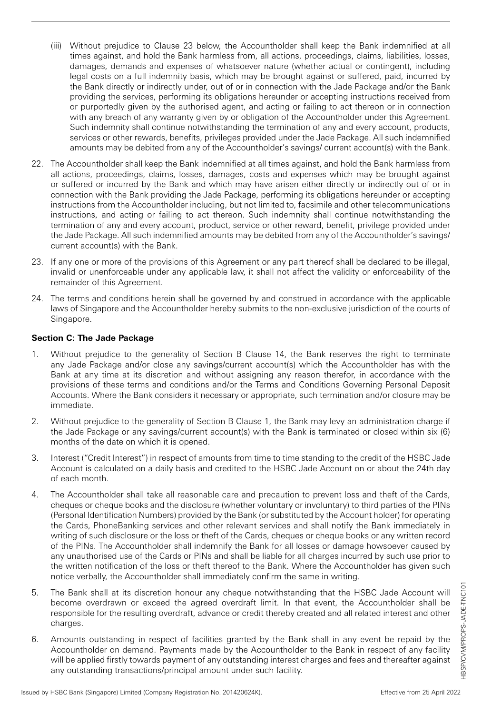- (iii) Without prejudice to Clause 23 below, the Accountholder shall keep the Bank indemnified at all times against, and hold the Bank harmless from, all actions, proceedings, claims, liabilities, losses, damages, demands and expenses of whatsoever nature (whether actual or contingent), including legal costs on a full indemnity basis, which may be brought against or suffered, paid, incurred by the Bank directly or indirectly under, out of or in connection with the Jade Package and/or the Bank providing the services, performing its obligations hereunder or accepting instructions received from or purportedly given by the authorised agent, and acting or failing to act thereon or in connection with any breach of any warranty given by or obligation of the Accountholder under this Agreement. Such indemnity shall continue notwithstanding the termination of any and every account, products, services or other rewards, benefits, privileges provided under the Jade Package. All such indemnified amounts may be debited from any of the Accountholder's savings/ current account(s) with the Bank.
- 22. The Accountholder shall keep the Bank indemnified at all times against, and hold the Bank harmless from all actions, proceedings, claims, losses, damages, costs and expenses which may be brought against or suffered or incurred by the Bank and which may have arisen either directly or indirectly out of or in connection with the Bank providing the Jade Package, performing its obligations hereunder or accepting instructions from the Accountholder including, but not limited to, facsimile and other telecommunications instructions, and acting or failing to act thereon. Such indemnity shall continue notwithstanding the termination of any and every account, product, service or other reward, benefit, privilege provided under the Jade Package. All such indemnified amounts may be debited from any of the Accountholder's savings/ current account(s) with the Bank.
- 23. If any one or more of the provisions of this Agreement or any part thereof shall be declared to be illegal, invalid or unenforceable under any applicable law, it shall not affect the validity or enforceability of the remainder of this Agreement.
- 24. The terms and conditions herein shall be governed by and construed in accordance with the applicable laws of Singapore and the Accountholder hereby submits to the non-exclusive jurisdiction of the courts of Singapore.

## **Section C: The Jade Package**

- 1. Without prejudice to the generality of Section B Clause 14, the Bank reserves the right to terminate any Jade Package and/or close any savings/current account(s) which the Accountholder has with the Bank at any time at its discretion and without assigning any reason therefor, in accordance with the provisions of these terms and conditions and/or the Terms and Conditions Governing Personal Deposit Accounts. Where the Bank considers it necessary or appropriate, such termination and/or closure may be immediate.
- 2. Without prejudice to the generality of Section B Clause 1, the Bank may levy an administration charge if the Jade Package or any savings/current account(s) with the Bank is terminated or closed within six (6) months of the date on which it is opened.
- 3. Interest ("Credit Interest") in respect of amounts from time to time standing to the credit of the HSBC Jade Account is calculated on a daily basis and credited to the HSBC Jade Account on or about the 24th day of each month.
- 4. The Accountholder shall take all reasonable care and precaution to prevent loss and theft of the Cards, cheques or cheque books and the disclosure (whether voluntary or involuntary) to third parties of the PINs (Personal Identification Numbers) provided by the Bank (or substituted by the Account holder) for operating the Cards, PhoneBanking services and other relevant services and shall notify the Bank immediately in writing of such disclosure or the loss or theft of the Cards, cheques or cheque books or any written record of the PINs. The Accountholder shall indemnify the Bank for all losses or damage howsoever caused by any unauthorised use of the Cards or PINs and shall be liable for all charges incurred by such use prior to the written notification of the loss or theft thereof to the Bank. Where the Accountholder has given such notice verbally, the Accountholder shall immediately confirm the same in writing.
- 5. The Bank shall at its discretion honour any cheque notwithstanding that the HSBC Jade Account will become overdrawn or exceed the agreed overdraft limit. In that event, the Accountholder shall be responsible for the resulting overdraft, advance or credit thereby created and all related interest and other charges.
- 6. Amounts outstanding in respect of facilities granted by the Bank shall in any event be repaid by the Accountholder on demand. Payments made by the Accountholder to the Bank in respect of any facility will be applied firstly towards payment of any outstanding interest charges and fees and thereafter against any outstanding transactions/principal amount under such facility.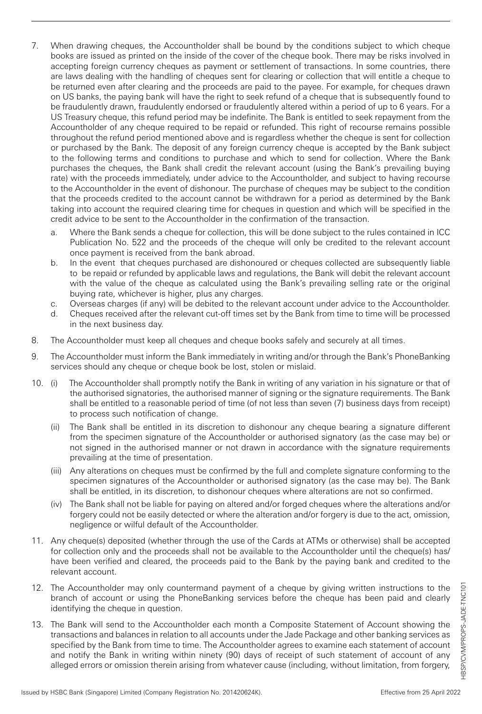- 7. When drawing cheques, the Accountholder shall be bound by the conditions subject to which cheque books are issued as printed on the inside of the cover of the cheque book. There may be risks involved in accepting foreign currency cheques as payment or settlement of transactions. In some countries, there are laws dealing with the handling of cheques sent for clearing or collection that will entitle a cheque to be returned even after clearing and the proceeds are paid to the payee. For example, for cheques drawn on US banks, the paying bank will have the right to seek refund of a cheque that is subsequently found to be fraudulently drawn, fraudulently endorsed or fraudulently altered within a period of up to 6 years. For a US Treasury cheque, this refund period may be indefinite. The Bank is entitled to seek repayment from the Accountholder of any cheque required to be repaid or refunded. This right of recourse remains possible throughout the refund period mentioned above and is regardless whether the cheque is sent for collection or purchased by the Bank. The deposit of any foreign currency cheque is accepted by the Bank subject to the following terms and conditions to purchase and which to send for collection. Where the Bank purchases the cheques, the Bank shall credit the relevant account (using the Bank's prevailing buying rate) with the proceeds immediately, under advice to the Accountholder, and subject to having recourse to the Accountholder in the event of dishonour. The purchase of cheques may be subject to the condition that the proceeds credited to the account cannot be withdrawn for a period as determined by the Bank taking into account the required clearing time for cheques in question and which will be specified in the credit advice to be sent to the Accountholder in the confirmation of the transaction.
	- a. Where the Bank sends a cheque for collection, this will be done subject to the rules contained in ICC Publication No. 522 and the proceeds of the cheque will only be credited to the relevant account once payment is received from the bank abroad.
	- b. In the event that cheques purchased are dishonoured or cheques collected are subsequently liable to be repaid or refunded by applicable laws and regulations, the Bank will debit the relevant account with the value of the cheque as calculated using the Bank's prevailing selling rate or the original buying rate, whichever is higher, plus any charges.
	- c. Overseas charges (if any) will be debited to the relevant account under advice to the Accountholder.
	- d. Cheques received after the relevant cut-off times set by the Bank from time to time will be processed in the next business day.
- 8. The Accountholder must keep all cheques and cheque books safely and securely at all times.
- 9. The Accountholder must inform the Bank immediately in writing and/or through the Bank's PhoneBanking services should any cheque or cheque book be lost, stolen or mislaid.
- 10. (i) The Accountholder shall promptly notify the Bank in writing of any variation in his signature or that of the authorised signatories, the authorised manner of signing or the signature requirements. The Bank shall be entitled to a reasonable period of time (of not less than seven (7) business days from receipt) to process such notification of change.
	- (ii) The Bank shall be entitled in its discretion to dishonour any cheque bearing a signature different from the specimen signature of the Accountholder or authorised signatory (as the case may be) or not signed in the authorised manner or not drawn in accordance with the signature requirements prevailing at the time of presentation.
	- (iii) Any alterations on cheques must be confirmed by the full and complete signature conforming to the specimen signatures of the Accountholder or authorised signatory (as the case may be). The Bank shall be entitled, in its discretion, to dishonour cheques where alterations are not so confirmed.
	- (iv) The Bank shall not be liable for paying on altered and/or forged cheques where the alterations and/or forgery could not be easily detected or where the alteration and/or forgery is due to the act, omission, negligence or wilful default of the Accountholder.
- 11. Any cheque(s) deposited (whether through the use of the Cards at ATMs or otherwise) shall be accepted for collection only and the proceeds shall not be available to the Accountholder until the cheque(s) has/ have been verified and cleared, the proceeds paid to the Bank by the paying bank and credited to the relevant account.
- 12. The Accountholder may only countermand payment of a cheque by giving written instructions to the branch of account or using the PhoneBanking services before the cheque has been paid and clearly identifying the cheque in question.
- 13. The Bank will send to the Accountholder each month a Composite Statement of Account showing the transactions and balances in relation to all accounts under the Jade Package and other banking services as specified by the Bank from time to time. The Accountholder agrees to examine each statement of account and notify the Bank in writing within ninety (90) days of receipt of such statement of account of any alleged errors or omission therein arising from whatever cause (including, without limitation, from forgery,